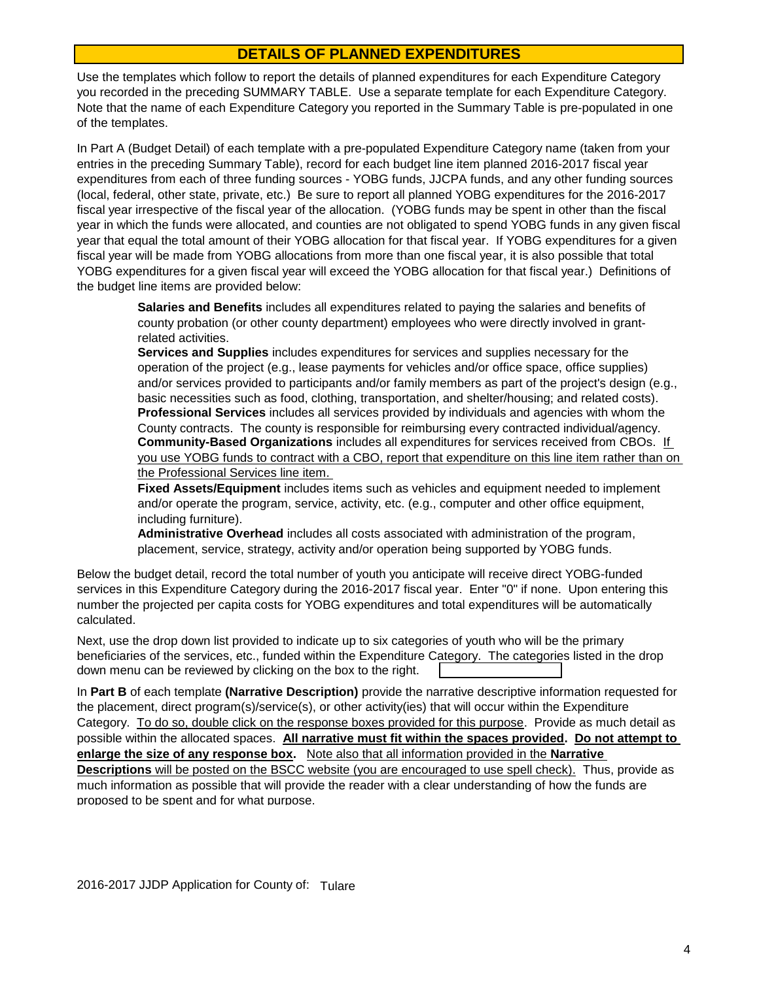## **DETAILS OF PLANNED EXPENDITURES**

Use the templates which follow to report the details of planned expenditures for each Expenditure Category you recorded in the preceding SUMMARY TABLE. Use a separate template for each Expenditure Category. Note that the name of each Expenditure Category you reported in the Summary Table is pre-populated in one of the templates.

In Part A (Budget Detail) of each template with a pre-populated Expenditure Category name (taken from your entries in the preceding Summary Table), record for each budget line item planned 2016-2017 fiscal year expenditures from each of three funding sources - YOBG funds, JJCPA funds, and any other funding sources (local, federal, other state, private, etc.) Be sure to report all planned YOBG expenditures for the 2016-2017 fiscal year irrespective of the fiscal year of the allocation. (YOBG funds may be spent in other than the fiscal year in which the funds were allocated, and counties are not obligated to spend YOBG funds in any given fiscal year that equal the total amount of their YOBG allocation for that fiscal year. If YOBG expenditures for a given fiscal year will be made from YOBG allocations from more than one fiscal year, it is also possible that total YOBG expenditures for a given fiscal year will exceed the YOBG allocation for that fiscal year.) Definitions of the budget line items are provided below:

> **Salaries and Benefits** includes all expenditures related to paying the salaries and benefits of county probation (or other county department) employees who were directly involved in grantrelated activities.

**Community-Based Organizations** includes all expenditures for services received from CBOs. If you use YOBG funds to contract with a CBO, report that expenditure on this line item rather than on the Professional Services line item. **Services and Supplies** includes expenditures for services and supplies necessary for the operation of the project (e.g., lease payments for vehicles and/or office space, office supplies) and/or services provided to participants and/or family members as part of the project's design (e.g., basic necessities such as food, clothing, transportation, and shelter/housing; and related costs). **Professional Services** includes all services provided by individuals and agencies with whom the County contracts. The county is responsible for reimbursing every contracted individual/agency.

**Fixed Assets/Equipment** includes items such as vehicles and equipment needed to implement and/or operate the program, service, activity, etc. (e.g., computer and other office equipment, including furniture).

**Administrative Overhead** includes all costs associated with administration of the program, placement, service, strategy, activity and/or operation being supported by YOBG funds.

Below the budget detail, record the total number of youth you anticipate will receive direct YOBG-funded services in this Expenditure Category during the 2016-2017 fiscal year. Enter "0" if none. Upon entering this number the projected per capita costs for YOBG expenditures and total expenditures will be automatically calculated.

down menu can be reviewed by clicking on the box to the right. Next, use the drop down list provided to indicate up to six categories of youth who will be the primary beneficiaries of the services, etc., funded within the Expenditure Category. The categories listed in the drop

In **Part B** of each template **(Narrative Description)** provide the narrative descriptive information requested for the placement, direct program(s)/service(s), or other activity(ies) that will occur within the Expenditure Category. To do so, double click on the response boxes provided for this purpose. Provide as much detail as possible within the allocated spaces. **All narrative must fit within the spaces provided. Do not attempt to enlarge the size of any response box.** Note also that all information provided in the **Narrative Descriptions** will be posted on the BSCC website (you are encouraged to use spell check). Thus, provide as much information as possible that will provide the reader with a clear understanding of how the funds are proposed to be spent and for what purpose.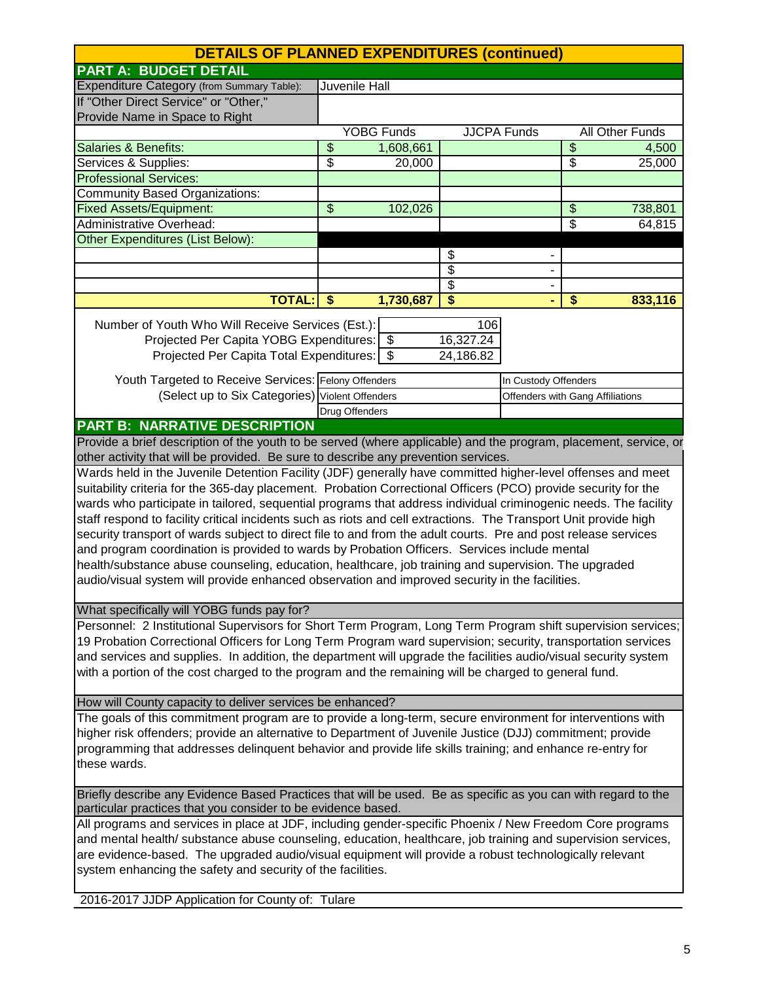| <b>DETAILS OF PLANNED EXPENDITURES (continued)</b>                                                                                                                                                                           |                |                   |                       |                                  |                           |
|------------------------------------------------------------------------------------------------------------------------------------------------------------------------------------------------------------------------------|----------------|-------------------|-----------------------|----------------------------------|---------------------------|
| <b>PART A: BUDGET DETAIL</b>                                                                                                                                                                                                 |                |                   |                       |                                  |                           |
| Expenditure Category (from Summary Table):                                                                                                                                                                                   |                | Juvenile Hall     |                       |                                  |                           |
| If "Other Direct Service" or "Other,"                                                                                                                                                                                        |                |                   |                       |                                  |                           |
| Provide Name in Space to Right                                                                                                                                                                                               |                |                   |                       |                                  |                           |
|                                                                                                                                                                                                                              |                | <b>YOBG Funds</b> |                       | <b>JJCPA Funds</b>               | <b>All Other Funds</b>    |
| <b>Salaries &amp; Benefits:</b>                                                                                                                                                                                              | \$             | 1,608,661         |                       |                                  | \$<br>4,500               |
| Services & Supplies:                                                                                                                                                                                                         | \$             | 20,000            |                       |                                  | \$<br>$\overline{2}5,000$ |
| <b>Professional Services:</b>                                                                                                                                                                                                |                |                   |                       |                                  |                           |
| Community Based Organizations:                                                                                                                                                                                               |                |                   |                       |                                  |                           |
| <b>Fixed Assets/Equipment:</b>                                                                                                                                                                                               | \$             | 102,026           |                       |                                  | \$<br>738,801             |
| <b>Administrative Overhead:</b>                                                                                                                                                                                              |                |                   |                       |                                  | \$<br>64,815              |
| <b>Other Expenditures (List Below):</b>                                                                                                                                                                                      |                |                   |                       |                                  |                           |
|                                                                                                                                                                                                                              |                |                   | \$                    |                                  |                           |
|                                                                                                                                                                                                                              |                |                   | \$                    | $\blacksquare$                   |                           |
|                                                                                                                                                                                                                              |                |                   | $\overline{\$}$<br>\$ | $\overline{\phantom{a}}$         | \$                        |
| <b>TOTAL:</b>                                                                                                                                                                                                                | \$             | 1,730,687         |                       | ٠                                | 833,116                   |
| Number of Youth Who Will Receive Services (Est.):                                                                                                                                                                            |                |                   | 106                   |                                  |                           |
| Projected Per Capita YOBG Expenditures: \ \ \$                                                                                                                                                                               |                |                   | 16,327.24             |                                  |                           |
| Projected Per Capita Total Expenditures:   \$                                                                                                                                                                                |                |                   | 24,186.82             |                                  |                           |
|                                                                                                                                                                                                                              |                |                   |                       |                                  |                           |
| Youth Targeted to Receive Services: Felony Offenders                                                                                                                                                                         |                |                   |                       | In Custody Offenders             |                           |
| (Select up to Six Categories) Violent Offenders                                                                                                                                                                              |                |                   |                       | Offenders with Gang Affiliations |                           |
|                                                                                                                                                                                                                              | Drug Offenders |                   |                       |                                  |                           |
| <b>PART B: NARRATIVE DESCRIPTION</b>                                                                                                                                                                                         |                |                   |                       |                                  |                           |
| Provide a brief description of the youth to be served (where applicable) and the program, placement, service, or                                                                                                             |                |                   |                       |                                  |                           |
| other activity that will be provided. Be sure to describe any prevention services.                                                                                                                                           |                |                   |                       |                                  |                           |
| Wards held in the Juvenile Detention Facility (JDF) generally have committed higher-level offenses and meet                                                                                                                  |                |                   |                       |                                  |                           |
| suitability criteria for the 365-day placement. Probation Correctional Officers (PCO) provide security for the                                                                                                               |                |                   |                       |                                  |                           |
| wards who participate in tailored, sequential programs that address individual criminogenic needs. The facility                                                                                                              |                |                   |                       |                                  |                           |
| staff respond to facility critical incidents such as riots and cell extractions. The Transport Unit provide high                                                                                                             |                |                   |                       |                                  |                           |
| security transport of wards subject to direct file to and from the adult courts. Pre and post release services                                                                                                               |                |                   |                       |                                  |                           |
| and program coordination is provided to wards by Probation Officers. Services include mental                                                                                                                                 |                |                   |                       |                                  |                           |
| health/substance abuse counseling, education, healthcare, job training and supervision. The upgraded                                                                                                                         |                |                   |                       |                                  |                           |
| audio/visual system will provide enhanced observation and improved security in the facilities.                                                                                                                               |                |                   |                       |                                  |                           |
|                                                                                                                                                                                                                              |                |                   |                       |                                  |                           |
| What specifically will YOBG funds pay for?                                                                                                                                                                                   |                |                   |                       |                                  |                           |
| Personnel: 2 Institutional Supervisors for Short Term Program, Long Term Program shift supervision services;<br>19 Probation Correctional Officers for Long Term Program ward supervision; security, transportation services |                |                   |                       |                                  |                           |
| and services and supplies. In addition, the department will upgrade the facilities audio/visual security system                                                                                                              |                |                   |                       |                                  |                           |
| with a portion of the cost charged to the program and the remaining will be charged to general fund.                                                                                                                         |                |                   |                       |                                  |                           |
|                                                                                                                                                                                                                              |                |                   |                       |                                  |                           |
| How will County capacity to deliver services be enhanced?                                                                                                                                                                    |                |                   |                       |                                  |                           |
| The goals of this commitment program are to provide a long-term, secure environment for interventions with                                                                                                                   |                |                   |                       |                                  |                           |
| higher risk offenders; provide an alternative to Department of Juvenile Justice (DJJ) commitment; provide                                                                                                                    |                |                   |                       |                                  |                           |
| programming that addresses delinquent behavior and provide life skills training; and enhance re-entry for                                                                                                                    |                |                   |                       |                                  |                           |
| these wards.                                                                                                                                                                                                                 |                |                   |                       |                                  |                           |
|                                                                                                                                                                                                                              |                |                   |                       |                                  |                           |
| Briefly describe any Evidence Based Practices that will be used. Be as specific as you can with regard to the                                                                                                                |                |                   |                       |                                  |                           |
| particular practices that you consider to be evidence based.                                                                                                                                                                 |                |                   |                       |                                  |                           |
| All programs and services in place at JDF, including gender-specific Phoenix / New Freedom Core programs                                                                                                                     |                |                   |                       |                                  |                           |
| and mental health/ substance abuse counseling, education, healthcare, job training and supervision services,                                                                                                                 |                |                   |                       |                                  |                           |
| are evidence-based. The upgraded audio/visual equipment will provide a robust technologically relevant                                                                                                                       |                |                   |                       |                                  |                           |
| system enhancing the safety and security of the facilities.                                                                                                                                                                  |                |                   |                       |                                  |                           |
|                                                                                                                                                                                                                              |                |                   |                       |                                  |                           |
| 2016-2017 JJDP Application for County of: Tulare                                                                                                                                                                             |                |                   |                       |                                  |                           |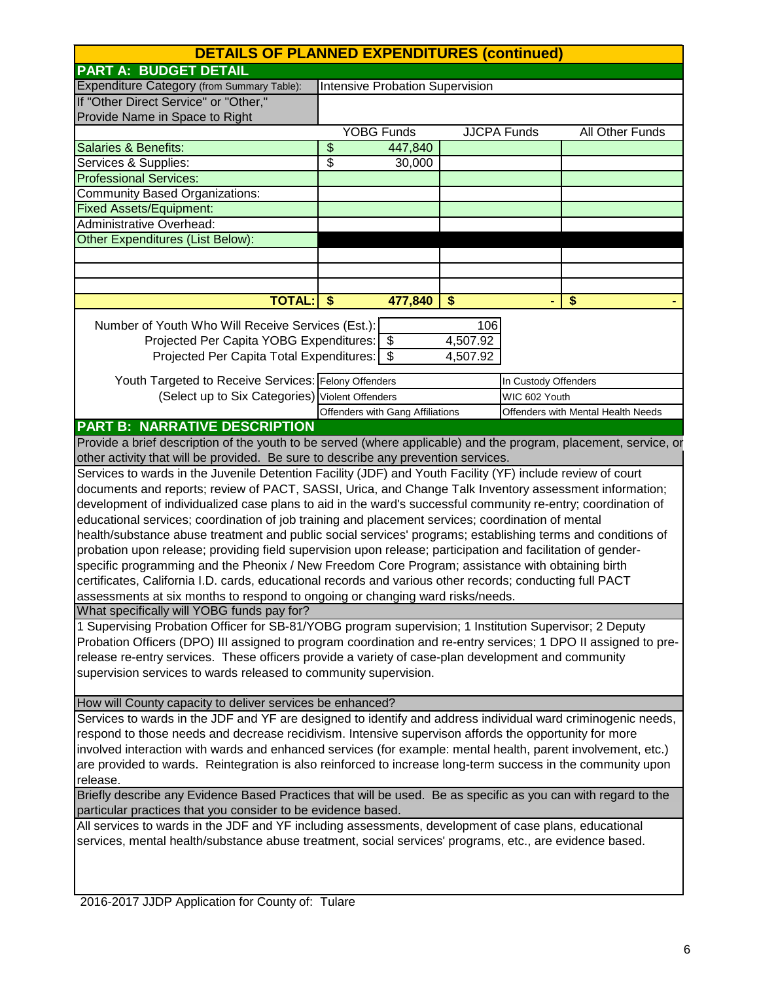| <b>DETAILS OF PLANNED EXPENDITURES (continued)</b>                                                                                                   |                                  |          |                      |                                    |
|------------------------------------------------------------------------------------------------------------------------------------------------------|----------------------------------|----------|----------------------|------------------------------------|
| <b>PART A: BUDGET DETAIL</b>                                                                                                                         |                                  |          |                      |                                    |
| Expenditure Category (from Summary Table):                                                                                                           | Intensive Probation Supervision  |          |                      |                                    |
| If "Other Direct Service" or "Other,"                                                                                                                |                                  |          |                      |                                    |
| Provide Name in Space to Right                                                                                                                       |                                  |          |                      |                                    |
|                                                                                                                                                      | <b>YOBG Funds</b>                |          | <b>JJCPA Funds</b>   | <b>All Other Funds</b>             |
| <b>Salaries &amp; Benefits:</b>                                                                                                                      | \$<br>447,840                    |          |                      |                                    |
| Services & Supplies:                                                                                                                                 | \$<br>30,000                     |          |                      |                                    |
| <b>Professional Services:</b>                                                                                                                        |                                  |          |                      |                                    |
| <b>Community Based Organizations:</b>                                                                                                                |                                  |          |                      |                                    |
| <b>Fixed Assets/Equipment:</b>                                                                                                                       |                                  |          |                      |                                    |
| Administrative Overhead:                                                                                                                             |                                  |          |                      |                                    |
| Other Expenditures (List Below):                                                                                                                     |                                  |          |                      |                                    |
|                                                                                                                                                      |                                  |          |                      |                                    |
|                                                                                                                                                      |                                  |          |                      |                                    |
|                                                                                                                                                      |                                  |          |                      |                                    |
| <b>TOTAL:</b>                                                                                                                                        | $\boldsymbol{\$}$<br>477,840     | \$       |                      | \$                                 |
| Number of Youth Who Will Receive Services (Est.):                                                                                                    |                                  | 106      |                      |                                    |
| Projected Per Capita YOBG Expenditures: \$                                                                                                           |                                  | 4,507.92 |                      |                                    |
| Projected Per Capita Total Expenditures:   \$                                                                                                        |                                  | 4,507.92 |                      |                                    |
|                                                                                                                                                      |                                  |          |                      |                                    |
| Youth Targeted to Receive Services: Felony Offenders                                                                                                 |                                  |          | In Custody Offenders |                                    |
| (Select up to Six Categories) Violent Offenders                                                                                                      |                                  |          | WIC 602 Youth        |                                    |
|                                                                                                                                                      | Offenders with Gang Affiliations |          |                      | Offenders with Mental Health Needs |
| <b>PART B: NARRATIVE DESCRIPTION</b>                                                                                                                 |                                  |          |                      |                                    |
| Provide a brief description of the youth to be served (where applicable) and the program, placement, service, or                                     |                                  |          |                      |                                    |
| other activity that will be provided. Be sure to describe any prevention services.                                                                   |                                  |          |                      |                                    |
| Services to wards in the Juvenile Detention Facility (JDF) and Youth Facility (YF) include review of court                                           |                                  |          |                      |                                    |
| documents and reports; review of PACT, SASSI, Urica, and Change Talk Inventory assessment information;                                               |                                  |          |                      |                                    |
| development of individualized case plans to aid in the ward's successful community re-entry; coordination of                                         |                                  |          |                      |                                    |
| educational services; coordination of job training and placement services; coordination of mental                                                    |                                  |          |                      |                                    |
| health/substance abuse treatment and public social services' programs; establishing terms and conditions of                                          |                                  |          |                      |                                    |
| probation upon release; providing field supervision upon release; participation and facilitation of gender-                                          |                                  |          |                      |                                    |
| specific programming and the Pheonix / New Freedom Core Program; assistance with obtaining birth                                                     |                                  |          |                      |                                    |
| certificates, California I.D. cards, educational records and various other records; conducting full PACT                                             |                                  |          |                      |                                    |
| assessments at six months to respond to ongoing or changing ward risks/needs.                                                                        |                                  |          |                      |                                    |
| What specifically will YOBG funds pay for?<br>1 Supervising Probation Officer for SB-81/YOBG program supervision; 1 Institution Supervisor; 2 Deputy |                                  |          |                      |                                    |
|                                                                                                                                                      |                                  |          |                      |                                    |
| Probation Officers (DPO) III assigned to program coordination and re-entry services; 1 DPO II assigned to pre-                                       |                                  |          |                      |                                    |
| release re-entry services. These officers provide a variety of case-plan development and community                                                   |                                  |          |                      |                                    |
| supervision services to wards released to community supervision.                                                                                     |                                  |          |                      |                                    |
| How will County capacity to deliver services be enhanced?                                                                                            |                                  |          |                      |                                    |
| Services to wards in the JDF and YF are designed to identify and address individual ward criminogenic needs,                                         |                                  |          |                      |                                    |
| respond to those needs and decrease recidivism. Intensive supervison affords the opportunity for more                                                |                                  |          |                      |                                    |
| involved interaction with wards and enhanced services (for example: mental health, parent involvement, etc.)                                         |                                  |          |                      |                                    |
| are provided to wards. Reintegration is also reinforced to increase long-term success in the community upon                                          |                                  |          |                      |                                    |
| release.                                                                                                                                             |                                  |          |                      |                                    |
| Briefly describe any Evidence Based Practices that will be used. Be as specific as you can with regard to the                                        |                                  |          |                      |                                    |
| particular practices that you consider to be evidence based.                                                                                         |                                  |          |                      |                                    |
| All services to wards in the JDF and YF including assessments, development of case plans, educational                                                |                                  |          |                      |                                    |
| services, mental health/substance abuse treatment, social services' programs, etc., are evidence based.                                              |                                  |          |                      |                                    |
|                                                                                                                                                      |                                  |          |                      |                                    |
|                                                                                                                                                      |                                  |          |                      |                                    |
|                                                                                                                                                      |                                  |          |                      |                                    |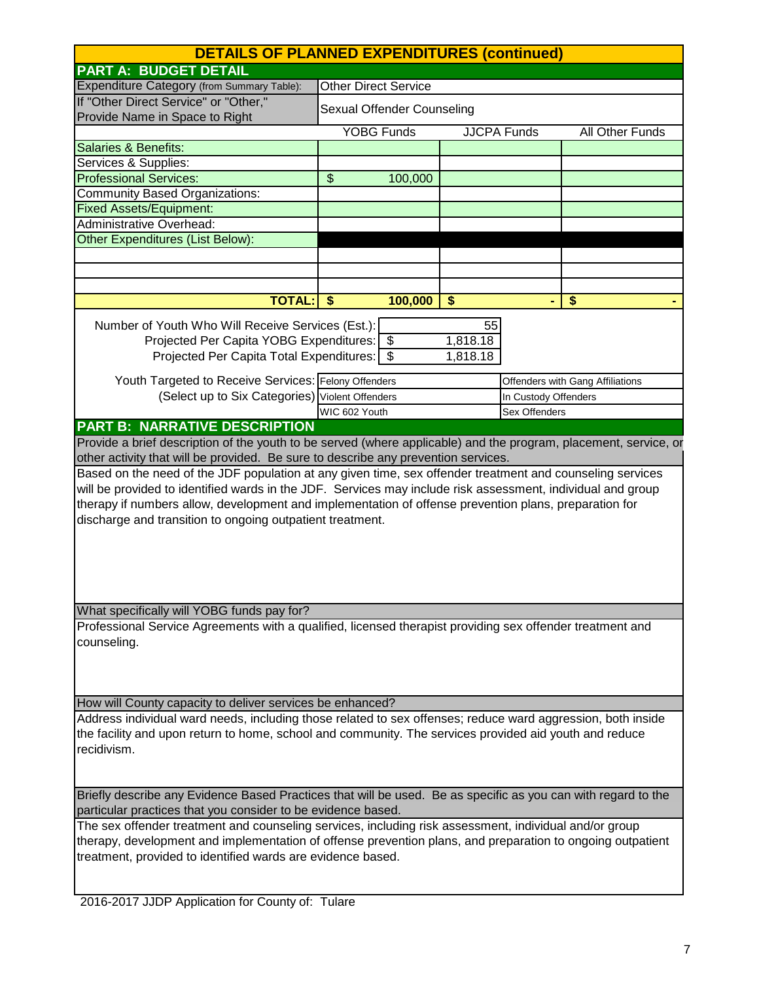| <b>DETAILS OF PLANNED EXPENDITURES (continued)</b>                                                               |                             |                    |                      |                                  |
|------------------------------------------------------------------------------------------------------------------|-----------------------------|--------------------|----------------------|----------------------------------|
| <b>PART A: BUDGET DETAIL</b>                                                                                     |                             |                    |                      |                                  |
| Expenditure Category (from Summary Table):                                                                       | <b>Other Direct Service</b> |                    |                      |                                  |
| If "Other Direct Service" or "Other,"<br>Provide Name in Space to Right                                          | Sexual Offender Counseling  |                    |                      |                                  |
|                                                                                                                  | <b>YOBG Funds</b>           | <b>JJCPA Funds</b> |                      | All Other Funds                  |
| <b>Salaries &amp; Benefits:</b>                                                                                  |                             |                    |                      |                                  |
| Services & Supplies:                                                                                             |                             |                    |                      |                                  |
| <b>Professional Services:</b>                                                                                    | 100,000<br>\$               |                    |                      |                                  |
| Community Based Organizations:                                                                                   |                             |                    |                      |                                  |
| <b>Fixed Assets/Equipment:</b>                                                                                   |                             |                    |                      |                                  |
| <b>Administrative Overhead:</b>                                                                                  |                             |                    |                      |                                  |
| <b>Other Expenditures (List Below):</b>                                                                          |                             |                    |                      |                                  |
|                                                                                                                  |                             |                    |                      |                                  |
|                                                                                                                  |                             |                    |                      |                                  |
|                                                                                                                  |                             |                    |                      |                                  |
| <b>TOTAL:</b>                                                                                                    | 100,000<br>\$               | \$                 |                      | \$                               |
| Number of Youth Who Will Receive Services (Est.):                                                                |                             | 55                 |                      |                                  |
| Projected Per Capita YOBG Expenditures:   \$                                                                     |                             | 1,818.18           |                      |                                  |
| Projected Per Capita Total Expenditures:   \$                                                                    |                             | 1,818.18           |                      |                                  |
|                                                                                                                  |                             |                    |                      |                                  |
| Youth Targeted to Receive Services: Felony Offenders                                                             |                             |                    |                      | Offenders with Gang Affiliations |
| (Select up to Six Categories) Violent Offenders                                                                  |                             |                    | In Custody Offenders |                                  |
|                                                                                                                  | WIC 602 Youth               |                    | Sex Offenders        |                                  |
| <b>PART B: NARRATIVE DESCRIPTION</b>                                                                             |                             |                    |                      |                                  |
| Provide a brief description of the youth to be served (where applicable) and the program, placement, service, or |                             |                    |                      |                                  |
| other activity that will be provided. Be sure to describe any prevention services.                               |                             |                    |                      |                                  |
| Based on the need of the JDF population at any given time, sex offender treatment and counseling services        |                             |                    |                      |                                  |
| will be provided to identified wards in the JDF. Services may include risk assessment, individual and group      |                             |                    |                      |                                  |
| therapy if numbers allow, development and implementation of offense prevention plans, preparation for            |                             |                    |                      |                                  |
| discharge and transition to ongoing outpatient treatment.                                                        |                             |                    |                      |                                  |
|                                                                                                                  |                             |                    |                      |                                  |
|                                                                                                                  |                             |                    |                      |                                  |
|                                                                                                                  |                             |                    |                      |                                  |
|                                                                                                                  |                             |                    |                      |                                  |
|                                                                                                                  |                             |                    |                      |                                  |
| What specifically will YOBG funds pay for?                                                                       |                             |                    |                      |                                  |
| Professional Service Agreements with a qualified, licensed therapist providing sex offender treatment and        |                             |                    |                      |                                  |
| counseling.                                                                                                      |                             |                    |                      |                                  |
|                                                                                                                  |                             |                    |                      |                                  |
|                                                                                                                  |                             |                    |                      |                                  |
|                                                                                                                  |                             |                    |                      |                                  |
| How will County capacity to deliver services be enhanced?                                                        |                             |                    |                      |                                  |
| Address individual ward needs, including those related to sex offenses; reduce ward aggression, both inside      |                             |                    |                      |                                  |
| the facility and upon return to home, school and community. The services provided aid youth and reduce           |                             |                    |                      |                                  |
| recidivism.                                                                                                      |                             |                    |                      |                                  |
|                                                                                                                  |                             |                    |                      |                                  |
|                                                                                                                  |                             |                    |                      |                                  |
| Briefly describe any Evidence Based Practices that will be used. Be as specific as you can with regard to the    |                             |                    |                      |                                  |
| particular practices that you consider to be evidence based.                                                     |                             |                    |                      |                                  |
| The sex offender treatment and counseling services, including risk assessment, individual and/or group           |                             |                    |                      |                                  |
| therapy, development and implementation of offense prevention plans, and preparation to ongoing outpatient       |                             |                    |                      |                                  |
| treatment, provided to identified wards are evidence based.                                                      |                             |                    |                      |                                  |
|                                                                                                                  |                             |                    |                      |                                  |
| 2016 2017 LIDD Application for County of: Tulero                                                                 |                             |                    |                      |                                  |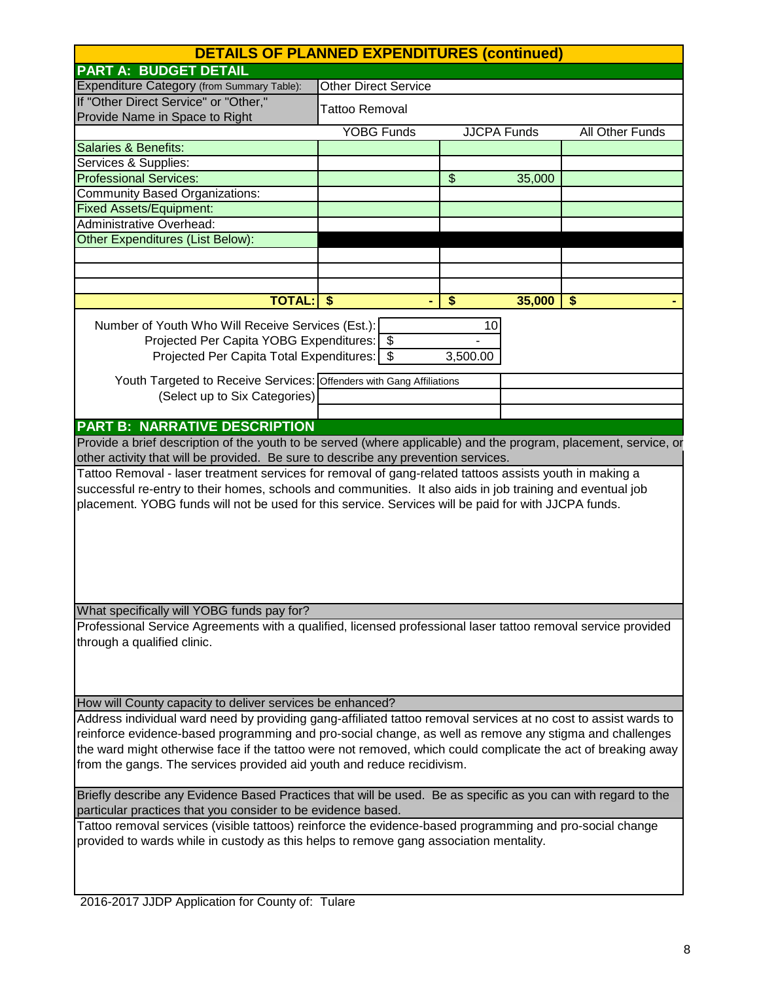|                                                                                                                  |                             | <b>DETAILS OF PLANNED EXPENDITURES (continued)</b> |        |                 |  |
|------------------------------------------------------------------------------------------------------------------|-----------------------------|----------------------------------------------------|--------|-----------------|--|
| <b>PART A: BUDGET DETAIL</b>                                                                                     |                             |                                                    |        |                 |  |
| Expenditure Category (from Summary Table):                                                                       | <b>Other Direct Service</b> |                                                    |        |                 |  |
| If "Other Direct Service" or "Other,"<br>Provide Name in Space to Right                                          | Tattoo Removal              |                                                    |        |                 |  |
|                                                                                                                  | <b>YOBG Funds</b>           | <b>JJCPA Funds</b>                                 |        | All Other Funds |  |
| <b>Salaries &amp; Benefits:</b>                                                                                  |                             |                                                    |        |                 |  |
| Services & Supplies:                                                                                             |                             |                                                    |        |                 |  |
| <b>Professional Services:</b>                                                                                    |                             | $\boldsymbol{\mathsf{S}}$                          | 35,000 |                 |  |
| <b>Community Based Organizations:</b>                                                                            |                             |                                                    |        |                 |  |
| <b>Fixed Assets/Equipment:</b>                                                                                   |                             |                                                    |        |                 |  |
| Administrative Overhead:                                                                                         |                             |                                                    |        |                 |  |
| <b>Other Expenditures (List Below):</b>                                                                          |                             |                                                    |        |                 |  |
|                                                                                                                  |                             |                                                    |        |                 |  |
|                                                                                                                  |                             |                                                    |        |                 |  |
|                                                                                                                  |                             |                                                    |        |                 |  |
| <b>TOTAL:</b>                                                                                                    | \$                          | \$                                                 | 35,000 | \$              |  |
| Number of Youth Who Will Receive Services (Est.):                                                                |                             | 10                                                 |        |                 |  |
| Projected Per Capita YOBG Expenditures:   \$                                                                     |                             |                                                    |        |                 |  |
| Projected Per Capita Total Expenditures:   \$                                                                    |                             | 3,500.00                                           |        |                 |  |
|                                                                                                                  |                             |                                                    |        |                 |  |
| Youth Targeted to Receive Services: Offenders with Gang Affiliations                                             |                             |                                                    |        |                 |  |
| (Select up to Six Categories)                                                                                    |                             |                                                    |        |                 |  |
|                                                                                                                  |                             |                                                    |        |                 |  |
| <b>PART B: NARRATIVE DESCRIPTION</b>                                                                             |                             |                                                    |        |                 |  |
| Provide a brief description of the youth to be served (where applicable) and the program, placement, service, or |                             |                                                    |        |                 |  |
| other activity that will be provided. Be sure to describe any prevention services.                               |                             |                                                    |        |                 |  |
| Tattoo Removal - laser treatment services for removal of gang-related tattoos assists youth in making a          |                             |                                                    |        |                 |  |
| successful re-entry to their homes, schools and communities. It also aids in job training and eventual job       |                             |                                                    |        |                 |  |
| placement. YOBG funds will not be used for this service. Services will be paid for with JJCPA funds.             |                             |                                                    |        |                 |  |
|                                                                                                                  |                             |                                                    |        |                 |  |
|                                                                                                                  |                             |                                                    |        |                 |  |
|                                                                                                                  |                             |                                                    |        |                 |  |
|                                                                                                                  |                             |                                                    |        |                 |  |
|                                                                                                                  |                             |                                                    |        |                 |  |
|                                                                                                                  |                             |                                                    |        |                 |  |
|                                                                                                                  |                             |                                                    |        |                 |  |
| What specifically will YOBG funds pay for?                                                                       |                             |                                                    |        |                 |  |
| Professional Service Agreements with a qualified, licensed professional laser tattoo removal service provided    |                             |                                                    |        |                 |  |
| through a qualified clinic.                                                                                      |                             |                                                    |        |                 |  |
|                                                                                                                  |                             |                                                    |        |                 |  |
|                                                                                                                  |                             |                                                    |        |                 |  |
|                                                                                                                  |                             |                                                    |        |                 |  |
| How will County capacity to deliver services be enhanced?                                                        |                             |                                                    |        |                 |  |
| Address individual ward need by providing gang-affiliated tattoo removal services at no cost to assist wards to  |                             |                                                    |        |                 |  |
| reinforce evidence-based programming and pro-social change, as well as remove any stigma and challenges          |                             |                                                    |        |                 |  |
| the ward might otherwise face if the tattoo were not removed, which could complicate the act of breaking away    |                             |                                                    |        |                 |  |
| from the gangs. The services provided aid youth and reduce recidivism.                                           |                             |                                                    |        |                 |  |
|                                                                                                                  |                             |                                                    |        |                 |  |
| Briefly describe any Evidence Based Practices that will be used. Be as specific as you can with regard to the    |                             |                                                    |        |                 |  |
| particular practices that you consider to be evidence based.                                                     |                             |                                                    |        |                 |  |
| Tattoo removal services (visible tattoos) reinforce the evidence-based programming and pro-social change         |                             |                                                    |        |                 |  |
| provided to wards while in custody as this helps to remove gang association mentality.                           |                             |                                                    |        |                 |  |
|                                                                                                                  |                             |                                                    |        |                 |  |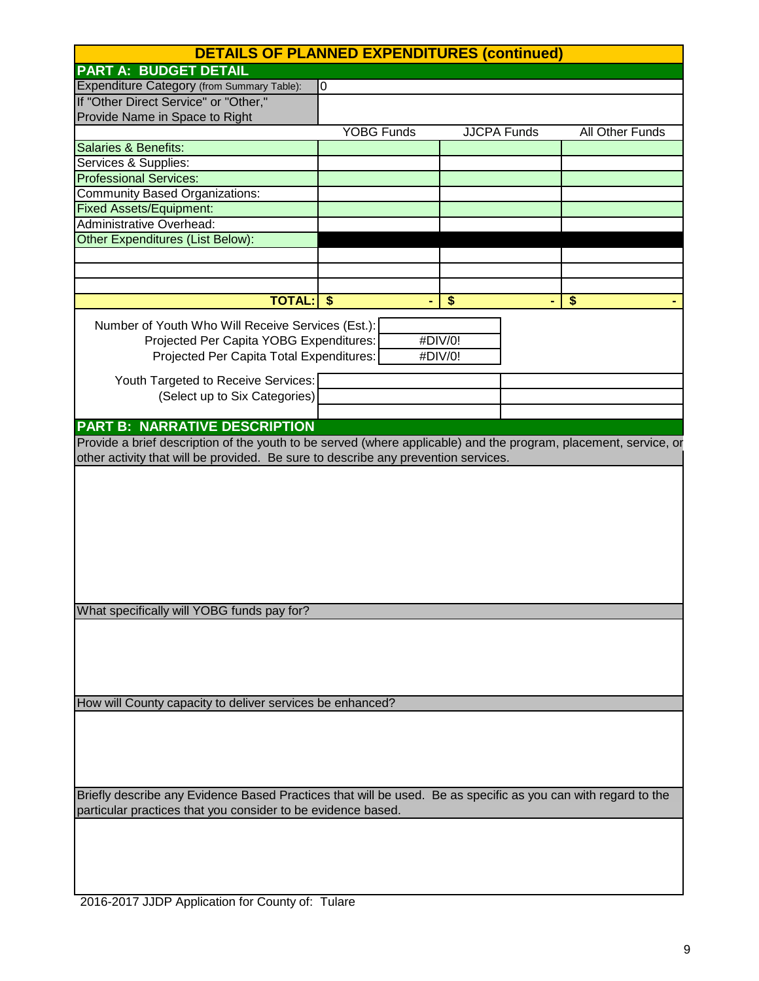| <b>DETAILS OF PLANNED EXPENDITURES (continued)</b>                                                                                                                            |                   |                    |                        |  |
|-------------------------------------------------------------------------------------------------------------------------------------------------------------------------------|-------------------|--------------------|------------------------|--|
| <b>PART A: BUDGET DETAIL</b>                                                                                                                                                  |                   |                    |                        |  |
| Expenditure Category (from Summary Table):                                                                                                                                    | $\overline{0}$    |                    |                        |  |
| If "Other Direct Service" or "Other,"                                                                                                                                         |                   |                    |                        |  |
| Provide Name in Space to Right                                                                                                                                                |                   |                    |                        |  |
|                                                                                                                                                                               | <b>YOBG Funds</b> | <b>JJCPA Funds</b> | <b>All Other Funds</b> |  |
| <b>Salaries &amp; Benefits:</b>                                                                                                                                               |                   |                    |                        |  |
| Services & Supplies:                                                                                                                                                          |                   |                    |                        |  |
| <b>Professional Services:</b>                                                                                                                                                 |                   |                    |                        |  |
| <b>Community Based Organizations:</b>                                                                                                                                         |                   |                    |                        |  |
| <b>Fixed Assets/Equipment:</b>                                                                                                                                                |                   |                    |                        |  |
| Administrative Overhead:                                                                                                                                                      |                   |                    |                        |  |
| <b>Other Expenditures (List Below):</b>                                                                                                                                       |                   |                    |                        |  |
|                                                                                                                                                                               |                   |                    |                        |  |
|                                                                                                                                                                               |                   |                    |                        |  |
|                                                                                                                                                                               |                   |                    |                        |  |
| <b>TOTAL:</b>                                                                                                                                                                 | \$                | \$                 | \$                     |  |
| Number of Youth Who Will Receive Services (Est.):                                                                                                                             |                   |                    |                        |  |
| Projected Per Capita YOBG Expenditures:                                                                                                                                       |                   | #DIV/0!            |                        |  |
| Projected Per Capita Total Expenditures:                                                                                                                                      |                   | #DIV/0!            |                        |  |
|                                                                                                                                                                               |                   |                    |                        |  |
| Youth Targeted to Receive Services:                                                                                                                                           |                   |                    |                        |  |
| (Select up to Six Categories)                                                                                                                                                 |                   |                    |                        |  |
|                                                                                                                                                                               |                   |                    |                        |  |
| <b>PART B: NARRATIVE DESCRIPTION</b>                                                                                                                                          |                   |                    |                        |  |
| Provide a brief description of the youth to be served (where applicable) and the program, placement, service, or                                                              |                   |                    |                        |  |
| other activity that will be provided. Be sure to describe any prevention services.                                                                                            |                   |                    |                        |  |
| What specifically will YOBG funds pay for?                                                                                                                                    |                   |                    |                        |  |
| How will County capacity to deliver services be enhanced?                                                                                                                     |                   |                    |                        |  |
|                                                                                                                                                                               |                   |                    |                        |  |
|                                                                                                                                                                               |                   |                    |                        |  |
| Briefly describe any Evidence Based Practices that will be used. Be as specific as you can with regard to the<br>particular practices that you consider to be evidence based. |                   |                    |                        |  |
|                                                                                                                                                                               |                   |                    |                        |  |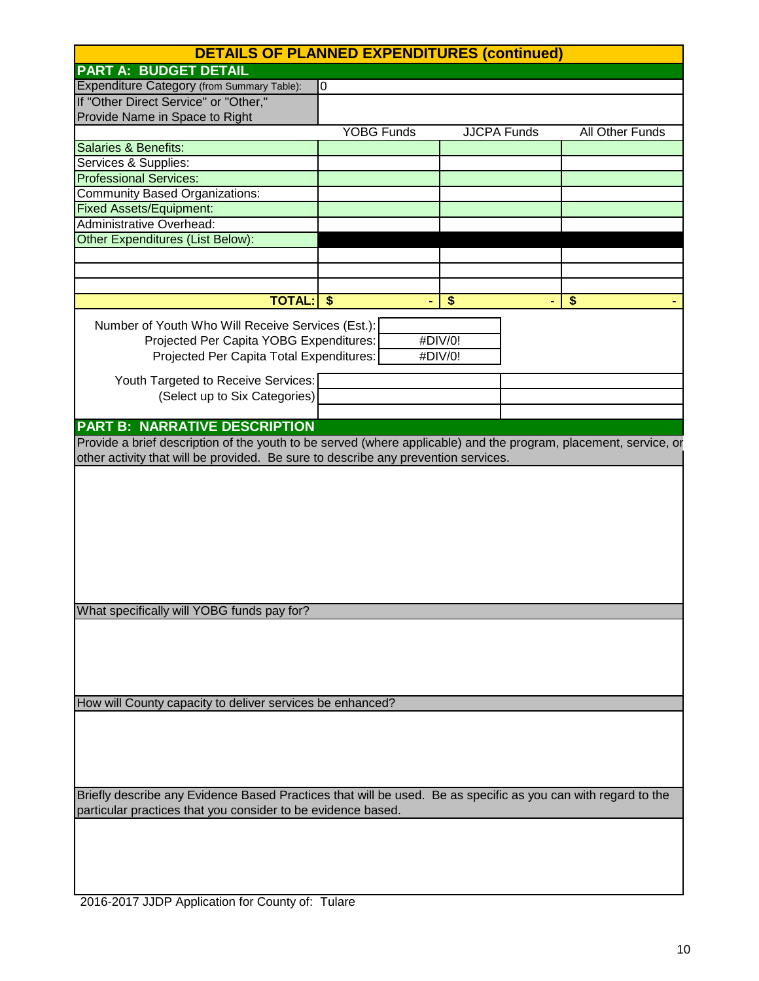| <b>DETAILS OF PLANNED EXPENDITURES (continued)</b>                                                               |                   |                    |                        |
|------------------------------------------------------------------------------------------------------------------|-------------------|--------------------|------------------------|
| <b>PART A: BUDGET DETAIL</b>                                                                                     |                   |                    |                        |
| Expenditure Category (from Summary Table):                                                                       | $\overline{0}$    |                    |                        |
| If "Other Direct Service" or "Other,"                                                                            |                   |                    |                        |
| Provide Name in Space to Right                                                                                   |                   |                    |                        |
|                                                                                                                  | <b>YOBG Funds</b> | <b>JJCPA Funds</b> | <b>All Other Funds</b> |
| <b>Salaries &amp; Benefits:</b>                                                                                  |                   |                    |                        |
| Services & Supplies:                                                                                             |                   |                    |                        |
| <b>Professional Services:</b>                                                                                    |                   |                    |                        |
| <b>Community Based Organizations:</b>                                                                            |                   |                    |                        |
| <b>Fixed Assets/Equipment:</b>                                                                                   |                   |                    |                        |
| Administrative Overhead:                                                                                         |                   |                    |                        |
| <b>Other Expenditures (List Below):</b>                                                                          |                   |                    |                        |
|                                                                                                                  |                   |                    |                        |
|                                                                                                                  |                   |                    |                        |
|                                                                                                                  |                   |                    |                        |
| <b>TOTAL:</b>                                                                                                    | \$                | \$                 | \$                     |
|                                                                                                                  |                   |                    |                        |
| Number of Youth Who Will Receive Services (Est.):                                                                |                   |                    |                        |
| Projected Per Capita YOBG Expenditures:                                                                          |                   | #DIV/0!            |                        |
| Projected Per Capita Total Expenditures:                                                                         |                   | #DIV/0!            |                        |
| Youth Targeted to Receive Services:                                                                              |                   |                    |                        |
| (Select up to Six Categories)                                                                                    |                   |                    |                        |
|                                                                                                                  |                   |                    |                        |
| <b>PART B: NARRATIVE DESCRIPTION</b>                                                                             |                   |                    |                        |
| Provide a brief description of the youth to be served (where applicable) and the program, placement, service, or |                   |                    |                        |
| other activity that will be provided. Be sure to describe any prevention services.                               |                   |                    |                        |
|                                                                                                                  |                   |                    |                        |
|                                                                                                                  |                   |                    |                        |
|                                                                                                                  |                   |                    |                        |
|                                                                                                                  |                   |                    |                        |
|                                                                                                                  |                   |                    |                        |
|                                                                                                                  |                   |                    |                        |
|                                                                                                                  |                   |                    |                        |
|                                                                                                                  |                   |                    |                        |
|                                                                                                                  |                   |                    |                        |
| What specifically will YOBG funds pay for?                                                                       |                   |                    |                        |
|                                                                                                                  |                   |                    |                        |
|                                                                                                                  |                   |                    |                        |
|                                                                                                                  |                   |                    |                        |
|                                                                                                                  |                   |                    |                        |
|                                                                                                                  |                   |                    |                        |
|                                                                                                                  |                   |                    |                        |
| How will County capacity to deliver services be enhanced?                                                        |                   |                    |                        |
|                                                                                                                  |                   |                    |                        |
|                                                                                                                  |                   |                    |                        |
|                                                                                                                  |                   |                    |                        |
|                                                                                                                  |                   |                    |                        |
|                                                                                                                  |                   |                    |                        |
| Briefly describe any Evidence Based Practices that will be used. Be as specific as you can with regard to the    |                   |                    |                        |
| particular practices that you consider to be evidence based.                                                     |                   |                    |                        |
|                                                                                                                  |                   |                    |                        |
|                                                                                                                  |                   |                    |                        |
|                                                                                                                  |                   |                    |                        |
|                                                                                                                  |                   |                    |                        |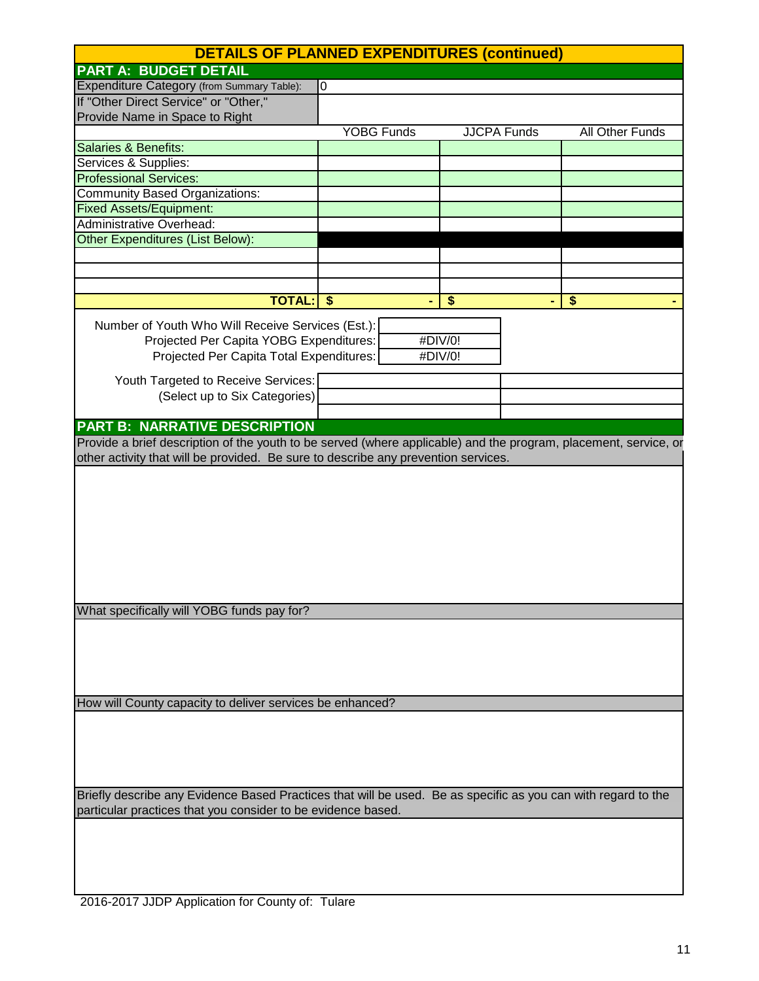| <b>DETAILS OF PLANNED EXPENDITURES (continued)</b>                                                                                                                            |                   |                    |                        |  |
|-------------------------------------------------------------------------------------------------------------------------------------------------------------------------------|-------------------|--------------------|------------------------|--|
| <b>PART A: BUDGET DETAIL</b>                                                                                                                                                  |                   |                    |                        |  |
| Expenditure Category (from Summary Table):                                                                                                                                    | $\overline{0}$    |                    |                        |  |
| If "Other Direct Service" or "Other,"                                                                                                                                         |                   |                    |                        |  |
| Provide Name in Space to Right                                                                                                                                                |                   |                    |                        |  |
|                                                                                                                                                                               | <b>YOBG Funds</b> | <b>JJCPA Funds</b> | <b>All Other Funds</b> |  |
| <b>Salaries &amp; Benefits:</b>                                                                                                                                               |                   |                    |                        |  |
| Services & Supplies:                                                                                                                                                          |                   |                    |                        |  |
| <b>Professional Services:</b>                                                                                                                                                 |                   |                    |                        |  |
| <b>Community Based Organizations:</b>                                                                                                                                         |                   |                    |                        |  |
| <b>Fixed Assets/Equipment:</b>                                                                                                                                                |                   |                    |                        |  |
| Administrative Overhead:                                                                                                                                                      |                   |                    |                        |  |
| <b>Other Expenditures (List Below):</b>                                                                                                                                       |                   |                    |                        |  |
|                                                                                                                                                                               |                   |                    |                        |  |
|                                                                                                                                                                               |                   |                    |                        |  |
|                                                                                                                                                                               |                   |                    |                        |  |
| <b>TOTAL:</b>                                                                                                                                                                 | \$                | \$                 | \$                     |  |
| Number of Youth Who Will Receive Services (Est.):                                                                                                                             |                   |                    |                        |  |
| Projected Per Capita YOBG Expenditures:                                                                                                                                       |                   | #DIV/0!            |                        |  |
| Projected Per Capita Total Expenditures:                                                                                                                                      |                   | #DIV/0!            |                        |  |
|                                                                                                                                                                               |                   |                    |                        |  |
| Youth Targeted to Receive Services:                                                                                                                                           |                   |                    |                        |  |
| (Select up to Six Categories)                                                                                                                                                 |                   |                    |                        |  |
|                                                                                                                                                                               |                   |                    |                        |  |
| <b>PART B: NARRATIVE DESCRIPTION</b>                                                                                                                                          |                   |                    |                        |  |
| Provide a brief description of the youth to be served (where applicable) and the program, placement, service, or                                                              |                   |                    |                        |  |
| other activity that will be provided. Be sure to describe any prevention services.                                                                                            |                   |                    |                        |  |
| What specifically will YOBG funds pay for?                                                                                                                                    |                   |                    |                        |  |
| How will County capacity to deliver services be enhanced?                                                                                                                     |                   |                    |                        |  |
|                                                                                                                                                                               |                   |                    |                        |  |
|                                                                                                                                                                               |                   |                    |                        |  |
| Briefly describe any Evidence Based Practices that will be used. Be as specific as you can with regard to the<br>particular practices that you consider to be evidence based. |                   |                    |                        |  |
|                                                                                                                                                                               |                   |                    |                        |  |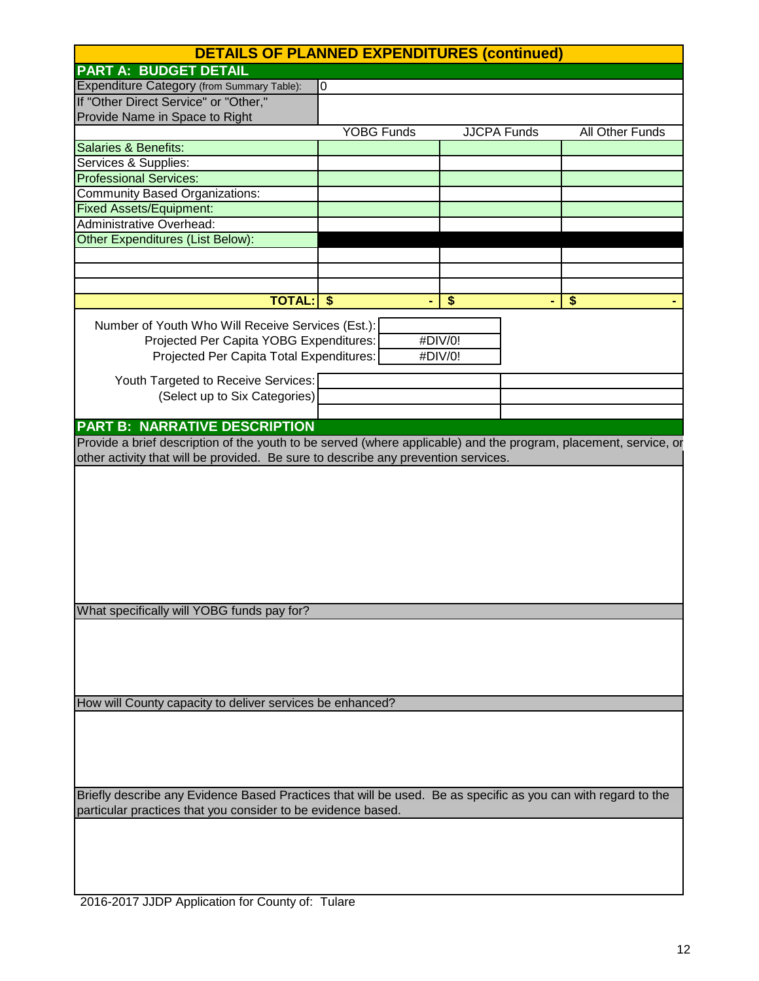| <b>DETAILS OF PLANNED EXPENDITURES (continued)</b>                                                                                                                            |                   |                    |                        |  |
|-------------------------------------------------------------------------------------------------------------------------------------------------------------------------------|-------------------|--------------------|------------------------|--|
| <b>PART A: BUDGET DETAIL</b>                                                                                                                                                  |                   |                    |                        |  |
| Expenditure Category (from Summary Table):                                                                                                                                    | $\overline{0}$    |                    |                        |  |
| If "Other Direct Service" or "Other,"                                                                                                                                         |                   |                    |                        |  |
| Provide Name in Space to Right                                                                                                                                                |                   |                    |                        |  |
|                                                                                                                                                                               | <b>YOBG Funds</b> | <b>JJCPA Funds</b> | <b>All Other Funds</b> |  |
| <b>Salaries &amp; Benefits:</b>                                                                                                                                               |                   |                    |                        |  |
| Services & Supplies:                                                                                                                                                          |                   |                    |                        |  |
| <b>Professional Services:</b>                                                                                                                                                 |                   |                    |                        |  |
| <b>Community Based Organizations:</b>                                                                                                                                         |                   |                    |                        |  |
| <b>Fixed Assets/Equipment:</b>                                                                                                                                                |                   |                    |                        |  |
| Administrative Overhead:                                                                                                                                                      |                   |                    |                        |  |
| <b>Other Expenditures (List Below):</b>                                                                                                                                       |                   |                    |                        |  |
|                                                                                                                                                                               |                   |                    |                        |  |
|                                                                                                                                                                               |                   |                    |                        |  |
|                                                                                                                                                                               |                   |                    |                        |  |
| <b>TOTAL:</b>                                                                                                                                                                 | \$                | \$                 | \$                     |  |
| Number of Youth Who Will Receive Services (Est.):                                                                                                                             |                   |                    |                        |  |
| Projected Per Capita YOBG Expenditures:                                                                                                                                       |                   | #DIV/0!            |                        |  |
| Projected Per Capita Total Expenditures:                                                                                                                                      |                   | #DIV/0!            |                        |  |
|                                                                                                                                                                               |                   |                    |                        |  |
| Youth Targeted to Receive Services:                                                                                                                                           |                   |                    |                        |  |
| (Select up to Six Categories)                                                                                                                                                 |                   |                    |                        |  |
|                                                                                                                                                                               |                   |                    |                        |  |
| <b>PART B: NARRATIVE DESCRIPTION</b>                                                                                                                                          |                   |                    |                        |  |
| Provide a brief description of the youth to be served (where applicable) and the program, placement, service, or                                                              |                   |                    |                        |  |
| other activity that will be provided. Be sure to describe any prevention services.                                                                                            |                   |                    |                        |  |
| What specifically will YOBG funds pay for?                                                                                                                                    |                   |                    |                        |  |
| How will County capacity to deliver services be enhanced?                                                                                                                     |                   |                    |                        |  |
|                                                                                                                                                                               |                   |                    |                        |  |
|                                                                                                                                                                               |                   |                    |                        |  |
| Briefly describe any Evidence Based Practices that will be used. Be as specific as you can with regard to the<br>particular practices that you consider to be evidence based. |                   |                    |                        |  |
|                                                                                                                                                                               |                   |                    |                        |  |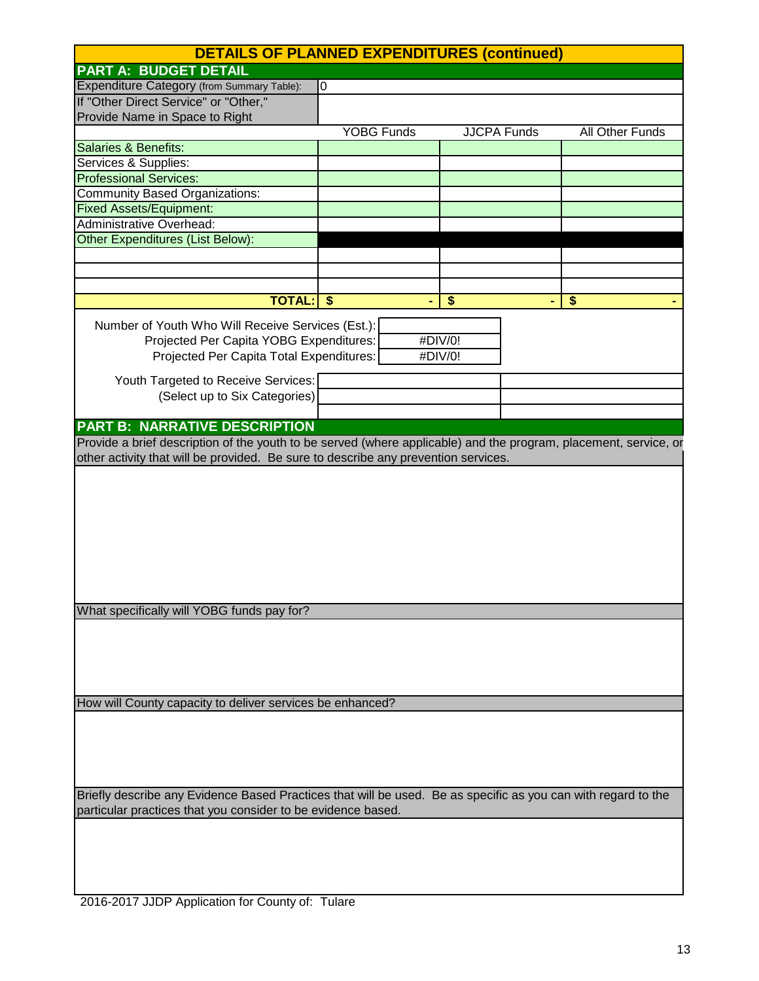| <b>DETAILS OF PLANNED EXPENDITURES (continued)</b>                                                                                                                            |                   |                    |                        |  |
|-------------------------------------------------------------------------------------------------------------------------------------------------------------------------------|-------------------|--------------------|------------------------|--|
| <b>PART A: BUDGET DETAIL</b>                                                                                                                                                  |                   |                    |                        |  |
| Expenditure Category (from Summary Table):                                                                                                                                    | $\overline{0}$    |                    |                        |  |
| If "Other Direct Service" or "Other,"                                                                                                                                         |                   |                    |                        |  |
| Provide Name in Space to Right                                                                                                                                                |                   |                    |                        |  |
|                                                                                                                                                                               | <b>YOBG Funds</b> | <b>JJCPA Funds</b> | <b>All Other Funds</b> |  |
| <b>Salaries &amp; Benefits:</b>                                                                                                                                               |                   |                    |                        |  |
| Services & Supplies:                                                                                                                                                          |                   |                    |                        |  |
| <b>Professional Services:</b>                                                                                                                                                 |                   |                    |                        |  |
| <b>Community Based Organizations:</b>                                                                                                                                         |                   |                    |                        |  |
| <b>Fixed Assets/Equipment:</b>                                                                                                                                                |                   |                    |                        |  |
| Administrative Overhead:                                                                                                                                                      |                   |                    |                        |  |
| <b>Other Expenditures (List Below):</b>                                                                                                                                       |                   |                    |                        |  |
|                                                                                                                                                                               |                   |                    |                        |  |
|                                                                                                                                                                               |                   |                    |                        |  |
|                                                                                                                                                                               |                   |                    |                        |  |
| <b>TOTAL:</b>                                                                                                                                                                 | \$                | \$                 | \$                     |  |
| Number of Youth Who Will Receive Services (Est.):                                                                                                                             |                   |                    |                        |  |
| Projected Per Capita YOBG Expenditures:                                                                                                                                       |                   | #DIV/0!            |                        |  |
| Projected Per Capita Total Expenditures:                                                                                                                                      |                   | #DIV/0!            |                        |  |
|                                                                                                                                                                               |                   |                    |                        |  |
| Youth Targeted to Receive Services:                                                                                                                                           |                   |                    |                        |  |
| (Select up to Six Categories)                                                                                                                                                 |                   |                    |                        |  |
|                                                                                                                                                                               |                   |                    |                        |  |
| <b>PART B: NARRATIVE DESCRIPTION</b>                                                                                                                                          |                   |                    |                        |  |
| Provide a brief description of the youth to be served (where applicable) and the program, placement, service, or                                                              |                   |                    |                        |  |
| other activity that will be provided. Be sure to describe any prevention services.                                                                                            |                   |                    |                        |  |
| What specifically will YOBG funds pay for?                                                                                                                                    |                   |                    |                        |  |
|                                                                                                                                                                               |                   |                    |                        |  |
| How will County capacity to deliver services be enhanced?                                                                                                                     |                   |                    |                        |  |
|                                                                                                                                                                               |                   |                    |                        |  |
| Briefly describe any Evidence Based Practices that will be used. Be as specific as you can with regard to the<br>particular practices that you consider to be evidence based. |                   |                    |                        |  |
|                                                                                                                                                                               |                   |                    |                        |  |